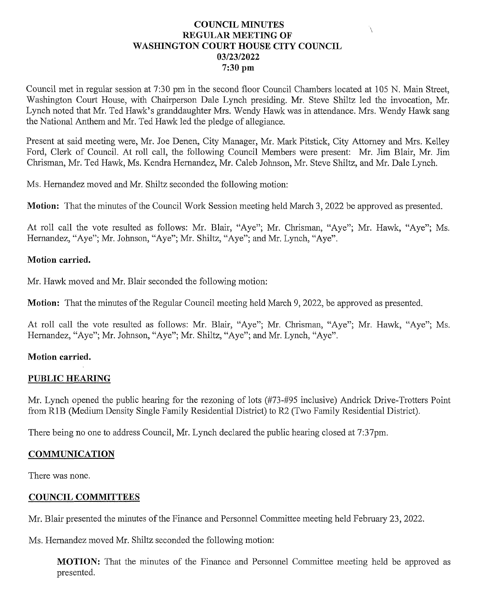# **COUNCIL MINUTES** REGULAR MEETING OF WASHINGTON COURT HOUSE CITY COUNCIL 03/23/2022 7:30 pm

Council met in regular session at 7:30 pmin the second floor Council Chambers located at <sup>105</sup> N. Main Street, Washington Court House, with Chairperson Dale Lynch presiding. Mr. Steve Shiltz led the invocation, Mr. Lynch noted that Mr. Ted Hawk's granddaughter Mrs. Wendy Hawk was in attendance. Mrs. Wendy Hawk sang the National Anthem and Mr. Ted Hawk led the pledge of allegiance.

Present at said meeting were, Mr. Joe Denen, City Manager, Mr. Mark Pitstick, City Attorney and Mrs. Kelley Ford, Clerk of Council. At roll call, the following Council Members were present: Mr. Jim Blair, Mr. Jim Chrisman, Mr. Ted Hawk, Ms. Kendra Hernandez, Mr. Caleb Johnson, Mr. Steve Shiltz, and Mr. Dale Lynch.

Ms. Hernandez moved and Mr. Shiltz seconded the following motion:

Motion: That the minutes of the Council Work Session meeting held March 3, 2022 be approved as presented.

At roll call the vote resulted as follows: Mr. Blair, "Aye"; Mr. Chrisman, "Aye"; Mr. Hawk, "Aye"; Ms. Hernandez, "Aye"; Mr. Johnson, "Aye"; Mr. Shiltz, "Aye"; and Mr. Lynch, "Aye".

### Motion carried.

Mr. Hawk moved and Mr. Blair seconded the following motion:

Motion: That the minutes of the Regular Council meeting held March 9, 2022, be approved as presented.

At roll call the vote resulted as follows: Mr. Blair, "Aye"; Mr. Chrisman, "Aye"; Mr. Hawk, "Aye"; Ms. Hernandez, "Aye"; Mr. Johnson, "Aye"; Mr. Shiltz, "Aye"; and Mr. Lynch, "Aye".

# Motion carried.

# PUBLIC HEARING

Mr. Lynch opened the public hearing for the rezoning of lots (#73-#95 inclusive) Andrick Drive-Trotters Point from R1B (Medium Density Single Family Residential District) to R2 (Two Family Residential District).

There being no one to address Council, Mr. Lynch declared the public hearing closed at 7:37pm.

### **COMMUNICATION**

There was none.

### COUNCIL COMMITTEES

Mr. Blair presented the minutes of the Finance and Personnel Committee meeting held February 23, 2022.

Ms. Hernandez moved Mr. Shiltz seconded the following motion:

MOTION: That the minutes of the Finance and Personnel Committee meeting held be approved as presented.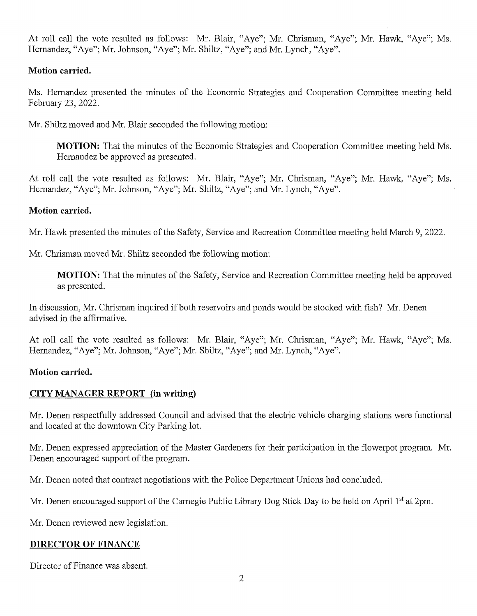At roll call the vote resulted as follows: Mr. Blair, "Aye"; Mr. Chrisman, "Aye"; Mr. Hawk, "Aye"; Ms. Hernandez, "Aye"; Mr. Johnson, "Aye"; Mr. Shiltz, "Aye"; and Mr. Lynch, "Aye".

# Motion carried.

Ms. Hernandez presented the minutes of the Economic Strategies and Cooperation Committee meeting held February 23, 2022.

Mr. Shiltz moved and Mr. Blair seconded the following motion:

**MOTION:** That the minutes of the Economic Strategies and Cooperation Committee meeting held Ms. Hernandez be approved as presented.

At roll call the vote resulted as follows: Mr. Blair, "Aye"; Mr. Chrisman, "Aye"; Mr. Hawk, "Aye"; Ms. Hernandez, "Aye"; Mr. Johnson, "Aye"; Mr. Shiltz, "Aye"; and Mr. Lynch, "Aye".

# Motion carried.

Mr. Hawk presented the minutes of the Safety, Service and Recreation Committee meeting held March 9, 2022.

Mr. Chrisman moved Mr. Shiltz seconded the following motion:

**MOTION:** That the minutes of the Safety, Service and Recreation Committee meeting held be approved as presented.

In discussion, Mr. Chrisman inquired if both reservoirs and ponds would be stocked with fish? Mr. Denen advised in the affirmative.

At roll call the vote resulted as follows: Mr. Blair, "Aye"; Mr. Chrisman, "Aye"; Mr. Hawk, "Aye"; Ms. Hernandez, "Aye"; Mr. Johnson, "Aye"; Mr. Shiltz, "Aye"; and Mr. Lynch, "Aye".

# Motion carried.

# CITY MANAGER REPORT (in writing)

Mr. Denen respectfully addressed Council and advised that the electric vehicle charging stations were functional and located at the downtownCity Parking lot.

Mr. Denen expressed appreciation of the Master Gardeners for their participation in the flowerpot program. Mr. Denen encouraged support of the program.

Mr. Denen noted that contract negotiations with the Police Department Unions had concluded.

Mr. Denen encouraged support of the Carnegie Public Library Dog Stick Day to be held on April 1<sup>st</sup> at 2pm.

Mr. Denen reviewed new legislation.

# DIRECTOR OF FINANCE

Director of Finance was absent.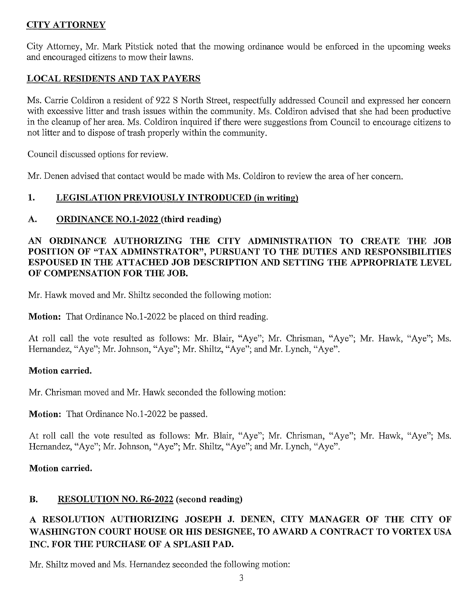# **CITY ATTORNEY**

City Attorney, Mr. Mark Pitstick noted that the mowing ordinance would be enforced in the upcoming weeks City Attorney, Mr. Mark Pitstick noted tha<br>and encouraged citizens to mow their lawns. and encouraged citizens to mow their lawns.<br>LOCAL RESIDENTS AND TAX PAYERS

Ms. Carrie Coldiron a resident of 922 S North Street, respectfully addressed Council and expressed her concern with excessive litter and trash issues within the community. Ms. Coldiron advised that she had been productive in the cleanup of her area. Ms. Coldiron inquired if there were suggestions from Council to encourage citizens to not litter and to dispose of trash properly within the community.

Council discussed options for review.

Mr. Denen advised that contact would be made with Ms. Coldiron to review the area of her concern.

# 1. LEGISLATION PREVIOUSLY INTRODUCED (in writing)

# A. ORDINANCE NO.1-2022 (third reading)

# AN ORDINANCE AUTHORIZING THE CITY ADMINISTRATION TO CREATE THE JOB AN ORDINANCE AUTHORIZING THE CITY ADMINISTRATION TO CREATE THE JOB<br>POSITION OF "TAX ADMINSTRATOR", PURSUANT TO THE DUTIES AND RESPONSIBILITIES POSITION OF "TAX ADMINSTRATOR", PURSUANT TO THE DUTIES AND RESPONSIBILITIES<br>ESPOUSED IN THE ATTACHED JOB DESCRIPTION AND SETTING THE APPROPRIATE LEVEL ESPOUSED IN THE ATTACHED JOB DESCRIPTION AND SETTING THE APPROPRIATE LEVEL<br>OF COMPENSATION FOR THE JOB.

Mr. Hawk moved and Mr. Shiltz seconded the following motion:

**Motion:** That Ordinance No.1-2022 be placed on third reading.

At roll call the vote resulted as follows: Mr. Blair, "Aye"; Mr. Chrisman, "Aye"; Mr. Hawk, "Aye"; Ms. Hernandez, "Aye"; Mr. Johnson, "Aye"; Mr. Shiltz, "Aye"; and Mr. Lynch, "Aye".

# Motion carried.

Mr. Chrisman moved and Mr. Hawk seconded the following motion:

Motion: That Ordinance No.1-2022 be passed.

At roll call the vote resulted as follows: Mr. Blair, "Aye"; Mr. Chrisman, "Aye"; Mr. Hawk, "Aye"; Ms. Hernandez, "Aye"; Mr. Johnson, "Aye"; Mr. Shiltz, "Aye"; and Mr. Lynch, "Aye".

# Motion carried.

# B. RESOLUTION NO. R6-2022 (second reading)

# RESOLUTION AUTHORIZING JOSEPH J. DENEN, CITY MANAGER OF THE CITY OF A RESOLUTION AUTHORIZING JOSEPH J. DENEN, CITY MANAGER OF THE CITY OF <br>WASHINGTON COURT HOUSE OR HIS DESIGNEE, TO AWARD A CONTRACT TO VORTEX USA WASHINGTON COURT HOUSE OR HIS DESIG<br>INC. FOR THE PURCHASE OF A SPLASH PAD.

Mr. Shiltz moved and Ms. Hernandez seconded the following motion: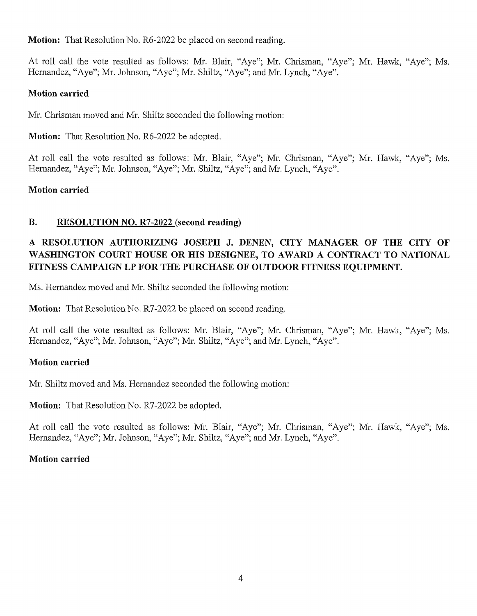Motion: That Resolution No. R6-2022 be placed on second reading.

At roll call the vote resulted as follows: Mr. Blair, "Aye"; Mr. Chrisman, "Aye"; Mr. Hawk, "Aye"; Ms. Hernandez, "Aye"; Mr. Johnson, "Aye"; Mr. Shiltz, "Aye"; and Mr. Lynch, "Aye".

# Motion carried

Mr. Chrisman moved and Mr. Shiltz seconded the following motion:

Motion: That Resolution No. R6-2022 be adopted.

At roll call the vote resulted as follows: Mr. Blair, "Aye"; Mr. Chrisman, "Aye"; Mr. Hawk, "Aye"; Ms. Hernandez, "Aye"; Mr. Johnson, "Aye"; Mr. Shiltz, "Aye"; and Mr. Lynch, "Aye".

# Motion carried

# B. RESOLUTION NO. R7-2022 (second reading)

# RESOLUTION AUTHORIZING JOSEPH J. DENEN, CITY MANAGER OF THE CITY OF A RESOLUTION AUTHORIZING JOSEPH J. DENEN, CITY MANAGER OF THE CITY OF WASHINGTON COURT HOUSE OR HIS DESIGNEE, TO AWARD A CONTRACT TO NATIONAL WASHINGTON COURT HOUSE OR HIS DESIGNEE, TO AWARD A CONTRACT TO NATIONAL FITNESS CAMPAIGN LP FOR THE PURCHASE OF OUTDOOR FITNESS EOUIPMENT.

Ms. Hernandez moved and Mr. Shiltz seconded the following motion:

**Motion:** That Resolution No. R7-2022 be placed on second reading.

At roll call the vote resulted as follows: Mr. Blair, "Aye"; Mr. Chrisman, "Aye"; Mr. Hawk, "Aye"; Ms. Hernandez, "Aye"; Mr. Johnson, "Aye"; Mr. Shiltz, "Aye"; and Mr. Lynch, "Aye".

# Motion carried

Mr. Shiltz moved and Ms. Hernandez seconded the following motion:

Motion: That Resolution No. R7-2022 be adopted.

At roll call the vote resulted as follows: Mr. Blair, "Aye"; Mr. Chrisman, "Aye"; Mr. Hawk, "Aye"; Ms. At roll call the vote resulted as follows: Mr. Blair, "Aye"; Mr. Chrisman, "<br>Hernandez, "Aye"; Mr. Johnson, "Aye"; Mr. Shiltz, "Aye"; and Mr. Lynch, "Aye

# Motion carried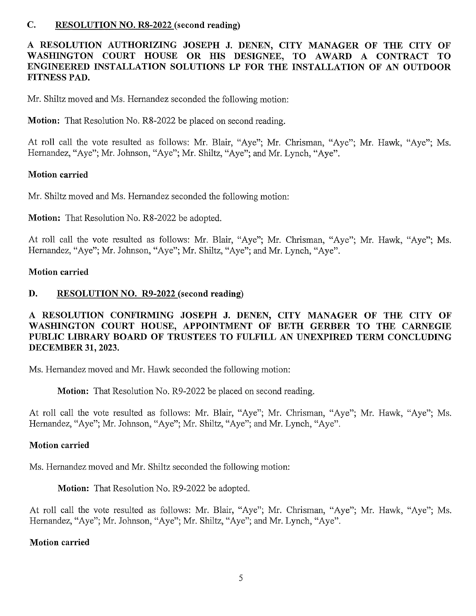### C. RESOLUTION NO. R8-2022 (second reading)

# RESOLUTION AUTHORIZING JOSEPH J. DENEN, CITY MANAGER OF THE CITY OF A RESOLUTION AUTHORIZING JOSEPH J. DENEN, CITY MANAGER OF THE CITY OF WASHINGTON COURT HOUSE OR HIS DESIGNEE, TO AWARD A CONTRACT TO WASHINGTON COURT HOUSE OR HIS DESIGNEE, TO AWARD A CONTRACT TO<br>ENGINEERED INSTALLATION SOLUTIONS LP FOR THE INSTALLATION OF AN OUTDOOR FITNESSPAD.

Mr. Shiltz moved and Ms. Hernandez seconded the following motion:

**Motion:** That Resolution No. R8-2022 be placed on second reading.

At roll call the vote resulted as follows: Mr. Blair, "Aye"; Mr. Chrisman, "Aye"; Mr. Hawk, "Aye"; Ms. Hernandez, "Aye"; Mr. Johnson, "Aye"; Mr. Shiltz, "Aye"; and Mr. Lynch, "Aye".

### Motion carried

Mr. Shiltz moved and Ms. Hernandez seconded the following motion:

Motion: That Resolution No. R8-2022 be adopted.

At roll call the vote resulted as follows: Mr. Blair, "Aye"; Mr. Chrisman, "Aye"; Mr. Hawk, "Aye"; Ms. Hernandez, "Aye"; Mr. Johnson, "Aye"; Mr. Shiltz, "Aye"; and Mr. Lynch, "Aye".

#### Motion carried

### D. RESOLUTION NO. R9-2022 (second reading)

# RESOLUTION CONFIRMING JOSEPH J. DENEN, CITY MANAGER OF THE CITY OF A RESOLUTION CONFIRMING JOSEPH J. DENEN, CITY MANAGER OF THE CITY OF WASHINGTON COURT HOUSE, APPOINTMENT OF BETH GERBER TO THE CARNEGIE WASHINGTON COURT HOUSE, APPOINTMENT OF BETH GERBER TO THE CARNEGIE<br>PUBLIC LIBRARY BOARD OF TRUSTEES TO FULFILL AN UNEXPIRED TERM CONCLUDING<br>DECEMBER 31, 2023. PUBLIC LIBRARY BOARD OF TRUSTEES TO FULFILL AN UNEXPIRED TERM CONCLUDING

Ms. Hernandez moved and Mr. Hawk seconded the following motion:

**Motion:** That Resolution No. R9-2022 be placed on second reading.

At roll call the vote resulted as follows: Mr. Blair, "Aye"; Mr. Chrisman, "Aye"; Mr. Hawk, "Aye"; Ms. Hernandez, "Aye"; Mr. Johnson, "Aye"; Mr. Shiltz, "Aye"; and Mr. Lynch, "Aye".

### Motion carried

Ms. Hernandez moved and Mr. Shiltz seconded the following motion:

Motion: That Resolution No. R9-2022 be adopted.

At roll call the vote resulted as follows: Mr. Blair, "Aye"; Mr. Chrisman, "Aye"; Mr. Hawk, "Aye"; Ms. Hernandez, "Aye"; Mr. Johnson, "Aye"; Mr. Shiltz, "Aye"; and Mr. Lynch, "Aye".

#### Motion carried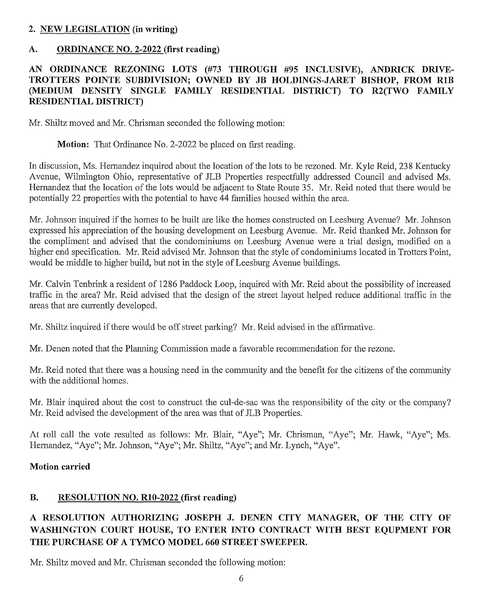# 2. NEWLEGISLATION(in writing)

# A. ORDINANCE NO. 2-2022 (first reading)

# AN ORDINANCE REZONING LOTS (#73 THROUGH #95 INCLUSIVE), ANDRICK DRIVE AN ORDINANCE REZONING LOTS (#73 THROUGH #95 INCLUSIVE), ANDRICK DRIVE-<br>TROTTERS POINTE SUBDIVISION; OWNED BY JB HOLDINGS-JARET BISHOP, FROM R1B<br>OLEDIUM DENSITY SINGLE FAMILY PESIDENTIAL DISTRICTS TO DOTIVO FAMILY TROTTERS POINTE SUBDIVISION; OWNED BY JB HOLDINGS-JARET BISHOP, FROM R1B<br>(MEDIUM DENSITY SINGLE FAMILY RESIDENTIAL DISTRICT) TO R2(TWO FAMILY (MEDIUM DENSITY SINGLE FAMILY RESIDENTIAL DISTRICT) TO R2(TWO FAMILY RESIDENTIAL DISTRICT)

Mr. Shiltz moved and Mr. Chrisman seconded the following motion:

Motion: That Ordinance No. 2-2022 be placed on first reading.

In discussion, Ms. Hernandez inquired about the location of the lots to be rezoned. Mr. Kyle Reid, 238 Kentucky Avenue, Wilmington Ohio, representative of JLB Properties respectfully addressed Council and advised Ms. Hernandez that the location of the lots would be adjacent to State Route 35. Mr. Reid noted that there would be potentially 22 properties with the potential to have 44 families housed within the area.

Mr. Johnson inquired if the homes to be built are like the homes constructed on Leesburg Avenue? Mr. Johnson expressed his appreciation of the housing development on Leesburg Avenue. Mr. Reid thanked Mr. Johnson for the compliment and advised that the condominiums on Leesburg Avenue were a trial design, modified on a higher end specification. Mr. Reid advised Mr. Johnson that the style of condominiums located in Trotters Point, would be middle to higher build, but not in the style of Leesburg Avenue buildings.

Mr. Calvin Tenbrink a resident of 1286 Paddock Loop, inquired with Mr. Reid about the possibility of increased traffic in the area? Mr. Reid advised that the design of the street layout helped reduce additional traffic in the areas that are currently developed.

Mr. Shiltz inquired if there would be off street parking? Mr. Reid advised in the affirmative.

Mr. Denen noted that the Planning Commission made a favorable recommendation for the rezone.

Mr. Reid noted that there was a housing need in the community and the benefit for the citizens of the community with the additional homes.

Mr. Blair inquired about the cost to construct the cul-de-sac was the responsibility of the city or the company? Mr. Reid advised the development of the area was that of JLB Properties.

At roll call the vote resulted as follows: Mr. Blair, "Aye"; Mr. Chrisman, "Aye"; Mr. Hawk, "Aye"; Ms. Hernandez, "Aye"; Mr. Johnson, "Aye"; Mr. Shiltz, "Aye"; and Mr. Lynch, "Aye".

### Motion carried

# B. RESOLUTION NO. R10-2022 (first reading)

# RESOLUTION AUTHORIZING JOSEPH J. DENEN CITY MANAGER, OF THE CITY OF A RESOLUTION AUTHORIZING JOSEPH J. DENEN CITY MANAGER, OF THE CITY OF<br>WASHINGTON COURT HOUSE, TO ENTER INTO CONTRACT WITH BEST EQUPMENT FOR WASHINGTON COURT HOUSE, TO ENTER INTO CONTRACT WITH BEST EQUPMENT FOR THE PURCHASE OF A TYMCO MODEL 660 STREET SWEEPER.

Mr. Shiltz moved and Mr. Chrisman seconded the following motion: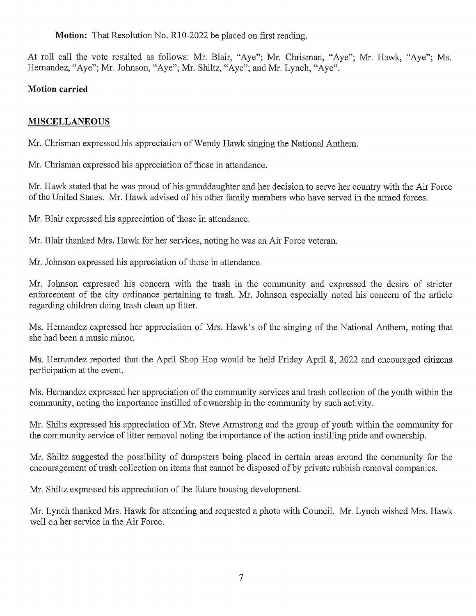Motion: That Resolution No. R10-2022 be placed on first reading.

At roll call the vote resulted as follows: Mr. Blair, "Aye"; Mr. Chrisman, "Aye"; Mr. Hawk, "Aye"; Ms. Hernandez, "Aye"; Mr. Johnson, "Aye"; Mr. Shiltz, "Aye"; and Mr. Lynch, "Aye".

# Motion carried

# **MISCELLANEOUS**

Mr. Chrisman expressed his appreciation of Wendy Hawk singing the National Anthem.

Mr. Chrisman expressed his appreciation of those in attendance.

Mr. Hawk stated that he was proud of his granddaughter and her decision to serve her country with the Air Force of the United States. Mr. Hawk advised of his other family members who have served in the armed forces.

Mr. Blair expressed his appreciation of those in attendance.

Mr. Blair thanked Mrs. Hawk for her services, noting he was an Air Force veteran.

Mr. Johnson expressed his appreciation of those in attendance.

Mr. Johnson expressed his concern with the trash in the community and expressed the desire of stricter enforcement of the city ordinance pertaining to trash. Mr. Johnson especially noted his concern of the article regarding children doing trash clean up litter.

Ms. Hernandez expressed her appreciation of Mrs. Hawk's of the singing of the National Anthem, noting that she had been a music minor.

Ms. Hernandez reported that the April Shop Hop would be held Friday April 8, 2022 and encouraged citizens participation at the event.

Ms. Hernandez expressed her appreciation of the community services and trash collection of the youth within the community, noting the importance instilled of ownership in the community by such activity.

Mr. Shilts expressed his appreciation of Mr. Steve Armstrong and the group of youth within the community for the community service of litter removal noting the importance of the action instilling pride and ownership.

Mr. Shiltz suggested the possibility of dumpsters being placed in certain areas around the community for the encouragement of trash collection on items that cannot be disposed of by private rubbish removal companies.

Mr. Shiltz expressed his appreciation of the future housing development.

Mr. Lynch thanked Mrs. Hawk for attending and requested a photo with Council. Mr. Lynch wished Mrs. Hawk well on her service in the Air Force.